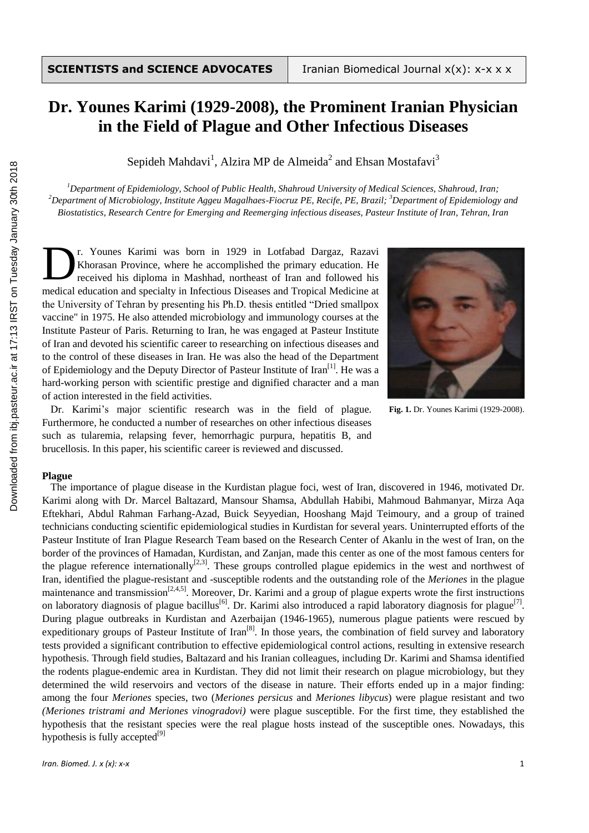# **Dr. Younes Karimi (1929-2008), the Prominent Iranian Physician in the Field of Plague and Other Infectious Diseases**

Sepideh Mahdavi<sup>1</sup>, Alzira MP de Almeida<sup>2</sup> and Ehsan Mostafavi<sup>3</sup>

*<sup>1</sup>Department of Epidemiology, School of Public Health, Shahroud University of Medical Sciences, Shahroud, Iran; <sup>2</sup>Department of Microbiology, Institute Aggeu Magalhaes-Fiocruz PE, Recife, PE, Brazil; <sup>3</sup>Department of Epidemiology and Biostatistics, Research Centre for Emerging and Reemerging infectious diseases, Pasteur Institute of Iran, Tehran, Iran*

r. Younes Karimi was born in 1929 in Lotfabad Dargaz, Razavi Khorasan Province, where he accomplished the primary education. He received his diploma in Mashhad, northeast of Iran and followed his medical education and specialty in Infectious Diseases and Tropical Medicine at the University of Tehran by presenting his Ph.D. thesis entitled "Dried smallpox vaccine" in 1975. He also attended microbiology and immunology courses at the Institute Pasteur of Paris. Returning to Iran, he was engaged at Pasteur Institute of Iran and devoted his scientific career to researching on infectious diseases and to the control of these diseases in Iran. He was also the head of the Department of Epidemiology and the Deputy Director of Pasteur Institute of Iran<sup>[1]</sup>. He was a hard-working person with scientific prestige and dignified character and a man of action interested in the field activities. D



**Fig. 1.** Dr. Younes Karimi (1929-2008).

Dr. Karimi's major scientific research was in the field of plague. Furthermore, he conducted a number of researches on other infectious diseases such as tularemia, relapsing fever, hemorrhagic purpura, hepatitis B, and brucellosis. In this paper, his scientific career is reviewed and discussed.

## **Plague**

The importance of plague disease in the Kurdistan plague foci, west of Iran, discovered in 1946, motivated Dr. Karimi along with Dr. Marcel Baltazard, Mansour Shamsa, Abdullah Habibi, Mahmoud Bahmanyar, Mirza Aqa Eftekhari, Abdul Rahman Farhang-Azad, Buick Seyyedian, Hooshang Majd Teimoury, and a group of trained technicians conducting scientific epidemiological studies in Kurdistan for several years. Uninterrupted efforts of the Pasteur Institute of Iran Plague Research Team based on the Research Center of Akanlu in the west of Iran, on the border of the provinces of Hamadan, Kurdistan, and Zanjan, made this center as one of the most famous centers for the plague reference internationally<sup>[2,3]</sup>. These groups controlled plague epidemics in the west and northwest of Iran, identified the plague-resistant and -susceptible rodents and the outstanding role of the *Meriones* in the plague maintenance and transmission<sup>[2,4,5]</sup>. Moreover, Dr. Karimi and a group of plague experts wrote the first instructions on laboratory diagnosis of plague bacillus<sup>[6]</sup>. Dr. Karimi also introduced a rapid laboratory diagnosis for plague<sup>[7]</sup>. During plague outbreaks in Kurdistan and Azerbaijan (1946-1965), numerous plague patients were rescued by expeditionary groups of Pasteur Institute of Iran<sup>[8]</sup>. In those years, the combination of field survey and laboratory tests provided a significant contribution to effective epidemiological control actions, resulting in extensive research hypothesis. Through field studies, Baltazard and his Iranian colleagues, including Dr. Karimi and Shamsa identified the rodents plague-endemic area in Kurdistan. They did not limit their research on plague microbiology, but they determined the wild reservoirs and vectors of the disease in nature. Their efforts ended up in a major finding: among the four *Meriones* species, two (*Meriones persicus* and *Meriones libycus*) were plague resistant and two *(Meriones tristrami and Meriones vinogradovi)* were plague susceptible. For the first time, they established the hypothesis that the resistant species were the real plague hosts instead of the susceptible ones. Nowadays, this hypothesis is fully accepted $^{[9]}$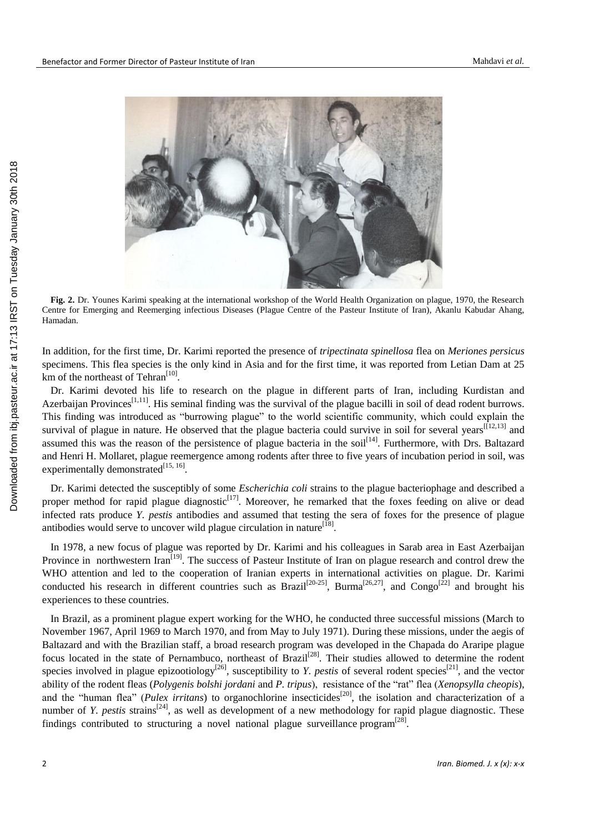

**Fig. 2.** Dr. Younes Karimi speaking at the international workshop of the World Health Organization on plague, 1970, the Research Centre for Emerging and Reemerging infectious Diseases (Plague Centre of the Pasteur Institute of Iran), Akanlu Kabudar Ahang, Hamadan.

In addition, for the first time, Dr. Karimi reported the presence of *tripectinata spinellosa* flea on *Meriones persicus*  specimens. This flea species is the only kind in Asia and for the first time, it was reported from Letian Dam at 25 km of the northeast of Tehran<sup>[10]</sup>.

Dr. Karimi devoted his life to research on the plague in different parts of Iran, including Kurdistan and Azerbaijan Provinces<sup>[1,11]</sup>. His seminal finding was the survival of the plague bacilli in soil of dead rodent burrows. This finding was introduced as "burrowing plague" to the world scientific community, which could explain the survival of plague in nature. He observed that the plague bacteria could survive in soil for several years  $[12,13]$  and assumed this was the reason of the persistence of plague bacteria in the soil<sup>[14]</sup>. Furthermore, with Drs. Baltazard and Henri H. Mollaret, plague reemergence among rodents after three to five years of incubation period in soil, was experimentally demonstrated $^{[15, 16]}$ .

Dr. Karimi detected the susceptibly of some *Escherichia coli* strains to the plague bacteriophage and described a proper method for rapid plague diagnostic<sup>[17]</sup>. Moreover, he remarked that the foxes feeding on alive or dead infected rats produce *Y. pestis* antibodies and assumed that testing the sera of foxes for the presence of plague antibodies would serve to uncover wild plague circulation in nature<sup>[18]</sup>.

In 1978, a new focus of plague was reported by Dr. Karimi and his colleagues in Sarab area in East Azerbaijan Province in northwestern Iran<sup>[19]</sup>. The success of Pasteur Institute of Iran on plague research and control drew the WHO attention and led to the cooperation of Iranian experts in international activities on plague. Dr. Karimi conducted his research in different countries such as Brazil<sup>[20-25]</sup>, Burma<sup>[26,27]</sup>, and Congo<sup>[22]</sup> and brought his experiences to these countries.

In Brazil, as a prominent plague expert working for the WHO, he conducted three successful missions (March to November 1967, April 1969 to March 1970, and from May to July 1971). During these missions, under the aegis of Baltazard and with the Brazilian staff, a broad research program was developed in the Chapada do Araripe plague focus located in the state of Pernambuco, northeast of Brazil<sup>[28]</sup>. Their studies allowed to determine the rodent species involved in plague epizootiology<sup>[26]</sup>, susceptibility to *Y. pestis* of several rodent species<sup>[21]</sup>, and the vector ability of the rodent fleas (*Polygenis bolshi jordani* and *P. tripus*), resistance of the "rat" flea (*Xenopsylla cheopis*), and the "human flea" (*Pulex irritans*) to organochlorine insecticides<sup>[20]</sup>, the isolation and characterization of a number of *Y. pestis* strains<sup>[24]</sup>, as well as development of a new methodology for rapid plague diagnostic. These findings contributed to structuring a novel national plague surveillance program $^{[28]}$ .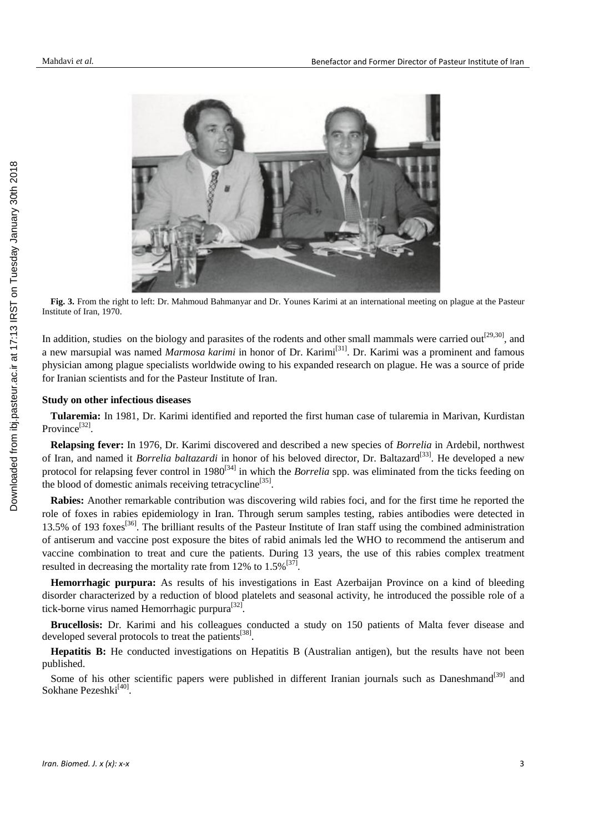

**Fig. 3.** From the right to left: Dr. Mahmoud Bahmanyar and Dr. Younes Karimi at an international meeting on plague at the Pasteur Institute of Iran, 1970.

In addition, studies on the biology and parasites of the rodents and other small mammals were carried out<sup>[29,30]</sup>, and a new marsupial was named *Marmosa karimi* in honor of Dr. Karimi<sup>[31]</sup>. Dr. Karimi was a prominent and famous physician among plague specialists worldwide owing to his expanded research on plague. He was a source of pride for Iranian scientists and for the Pasteur Institute of Iran.

### **Study on other infectious diseases**

**Tularemia:** In 1981, Dr. Karimi identified and reported the first human case of tularemia in Marivan, Kurdistan Province<sup>[32]</sup>.

**Relapsing fever:** In 1976, Dr. Karimi discovered and described a new species of *Borrelia* in Ardebil, northwest of Iran, and named it *Borrelia baltazardi* in honor of his beloved director, Dr. Baltazard<sup>[33]</sup>. He developed a new protocol for relapsing fever control in 1980<sup>[34]</sup> in which the *Borrelia* spp. was eliminated from the ticks feeding on the blood of domestic animals receiving tetracycline<sup>[35]</sup>.

**Rabies:** Another remarkable contribution was discovering wild rabies foci, and for the first time he reported the role of foxes in rabies epidemiology in Iran. Through serum samples testing, rabies antibodies were detected in 13.5% of 193 foxes<sup>[36]</sup>. The brilliant results of the Pasteur Institute of Iran staff using the combined administration of antiserum and vaccine post exposure the bites of rabid animals led the WHO to recommend the antiserum and vaccine combination to treat and cure the patients. During 13 years, the use of this rabies complex treatment resulted in decreasing the mortality rate from 12% to  $1.5\%^{[37]}$ .

**Hemorrhagic purpura:** As results of his investigations in East Azerbaijan Province on a kind of bleeding disorder characterized by a reduction of blood platelets and seasonal activity, he introduced the possible role of a tick-borne virus named Hemorrhagic purpura<sup>[32]</sup>.

**Brucellosis:** Dr. Karimi and his colleagues conducted a study on 150 patients of Malta fever disease and developed several protocols to treat the patients<sup>[38]</sup>.

**Hepatitis B:** He conducted investigations on Hepatitis B (Australian antigen), but the results have not been published.

Some of his other scientific papers were published in different Iranian journals such as Daneshmand<sup>[39]</sup> and Sokhane Pezeshki<sup>[40]</sup>.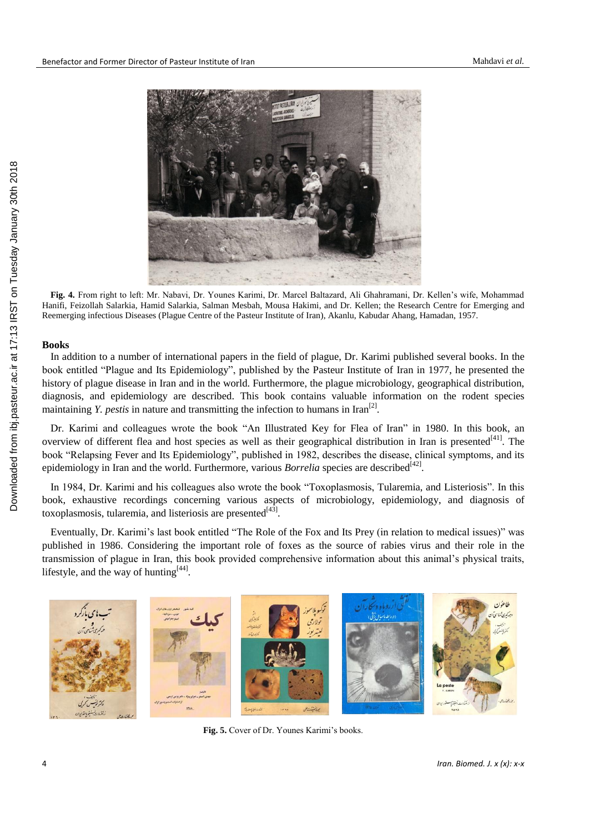

**Fig. 4.** From right to left: Mr. Nabavi, Dr. Younes Karimi, Dr. Marcel Baltazard, Ali Ghahramani, Dr. Kellen's wife, Mohammad Hanifi, Feizollah Salarkia, Hamid Salarkia, Salman Mesbah, Mousa Hakimi, and Dr. Kellen; the Research Centre for Emerging and Reemerging infectious Diseases (Plague Centre of the Pasteur Institute of Iran), Akanlu, Kabudar Ahang, Hamadan, 1957.

#### **Books**

Downloaded from ibj.pasteur.ac.ir at 17:13 IRST on Tuesday January 30th 2018 [Downloaded from ibj.pasteur.ac.ir at 17:13 IRST on Tuesday January 30th 2018](http://ibj.pasteur.ac.ir/article-1-2317-en.html)

In addition to a number of international papers in the field of plague, Dr. Karimi published several books. In the book entitled "Plague and Its Epidemiology", published by the Pasteur Institute of Iran in 1977, he presented the history of plague disease in Iran and in the world. Furthermore, the plague microbiology, geographical distribution, diagnosis, and epidemiology are described. This book contains valuable information on the rodent species maintaining *Y*. *pestis* in nature and transmitting the infection to humans in  $\text{tran}^{[2]}$ .

Dr. Karimi and colleagues wrote the book "An Illustrated Key for Flea of Iran" in 1980. In this book, an overview of different flea and host species as well as their geographical distribution in Iran is presented<sup>[41]</sup>. The book "Relapsing Fever and Its Epidemiology", published in 1982, describes the disease, clinical symptoms, and its epidemiology in Iran and the world. Furthermore, various *Borrelia* species are described<sup>[42]</sup>.

In 1984, Dr. Karimi and his colleagues also wrote the book "Toxoplasmosis, Tularemia, and Listeriosis". In this book, exhaustive recordings concerning various aspects of microbiology, epidemiology, and diagnosis of toxoplasmosis, tularemia, and listeriosis are presented<sup>[43]</sup>.

Eventually, Dr. Karimi's last book entitled "The Role of the Fox and Its Prey (in relation to medical issues)" was published in 1986. Considering the important role of foxes as the source of rabies virus and their role in the transmission of plague in Iran, this book provided comprehensive information about this animal's physical traits, lifestyle, and the way of hunting $^{[44]}$ .



**Fig. 5.** Cover of Dr. Younes Karimi's books.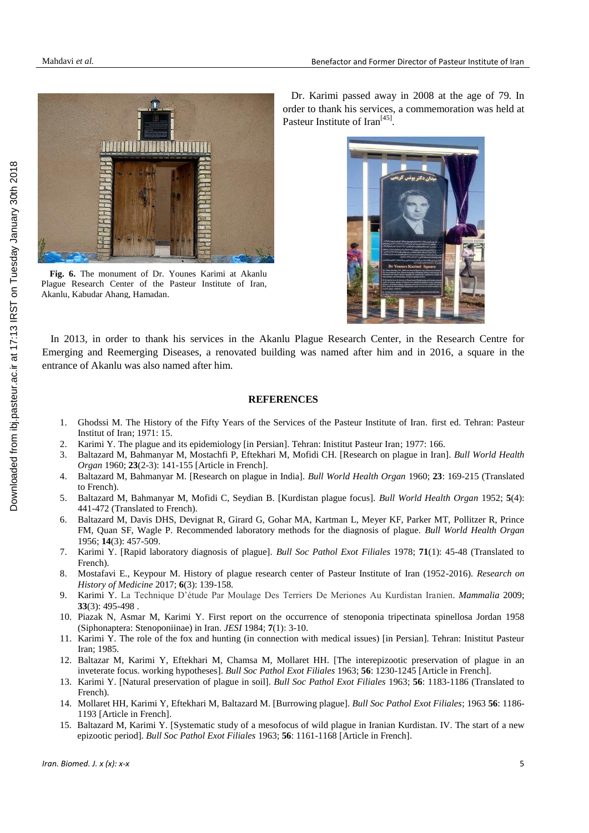

**Fig. 6.** The monument of Dr. Younes Karimi at Akanlu Plague Research Center of the Pasteur Institute of Iran, Akanlu, Kabudar Ahang, Hamadan.

Dr. Karimi passed away in 2008 at the age of 79. In order to thank his services, a commemoration was held at Pasteur Institute of Iran<sup>[45]</sup>.



In 2013, in order to thank his services in the Akanlu Plague Research Center, in the Research Centre for Emerging and Reemerging Diseases, a renovated building was named after him and in 2016, a square in the entrance of Akanlu was also named after him.

### **REFERENCES**

- 1. Ghodssi M. The History of the Fifty Years of the Services of the Pasteur Institute of Iran. first ed. Tehran: Pasteur Institut of Iran; 1971: 15.
- 2. Karimi Y. The plague and its epidemiology [in Persian]. Tehran: Inistitut Pasteur Iran; 1977: 166.
- 3. Baltazard M, Bahmanyar M, Mostachfi P, Eftekhari M, Mofidi CH. [Research on plague in Iran]. *Bull World Health Organ* 1960; **23**(2-3): 141-155 [Article in French].
- 4. Baltazard M, Bahmanyar M. [Research on plague in India]. *Bull World Health Organ* 1960; **23**: 169-215 (Translated to French).
- 5. Baltazard M, Bahmanyar M, Mofidi C, Seydian B. [Kurdistan plague focus]. *Bull World Health Organ* 1952; **5**(4): 441-472 (Translated to French).
- 6. Baltazard M, Davis DHS, Devignat R, Girard G, Gohar MA, Kartman L, Meyer KF, Parker MT, Pollitzer R, Prince FM, Quan SF, Wagle P. Recommended laboratory methods for the diagnosis of plague. *Bull World Health Organ*  1956; **14**(3): 457-509.
- 7. Karimi Y. [Rapid laboratory diagnosis of plague]. *Bull Soc Pathol Exot Filiales* 1978; **71**(1): 45-48 (Translated to French).
- 8. Mostafavi E., Keypour M. History of plague research center of Pasteur Institute of Iran (1952-2016). *Research on History of Medicine* 2017; **6**(3): 139-158.
- 9. Karimi Y. La Technique D'étude Par Moulage Des Terriers De Meriones Au Kurdistan Iranien. *Mammalia* 2009; **33**(3): 495-498 .
- 10. Piazak N, Asmar M, Karimi Y. First report on the occurrence of stenoponia tripectinata spinellosa Jordan 1958 (Siphonaptera: Stenoponiinae) in Iran. *JESI* 1984; **7**(1): 3-10.
- 11. Karimi Y. The role of the fox and hunting (in connection with medical issues) [in Persian]. Tehran: Inistitut Pasteur Iran; 1985.
- 12. Baltazar M, Karimi Y, Eftekhari M, Chamsa M, Mollaret HH. [The interepizootic preservation of plague in an inveterate focus. working hypotheses]. *Bull Soc Pathol Exot Filiales* 1963; **56**: 1230-1245 [Article in French].
- 13. Karimi Y. [Natural preservation of plague in soil]. *Bull Soc Pathol Exot Filiales* 1963; **56**: 1183-1186 (Translated to French).
- 14. Mollaret HH, Karimi Y, Eftekhari M, Baltazard M. [Burrowing plague]. *Bull Soc Pathol Exot Filiales*; 1963 **56**: 1186- 1193 [Article in French].
- 15. Baltazard M, Karimi Y. [Systematic study of a mesofocus of wild plague in Iranian Kurdistan. IV. The start of a new epizootic period]. *Bull Soc Pathol Exot Filiales* 1963; **56**: 1161-1168 [Article in French].